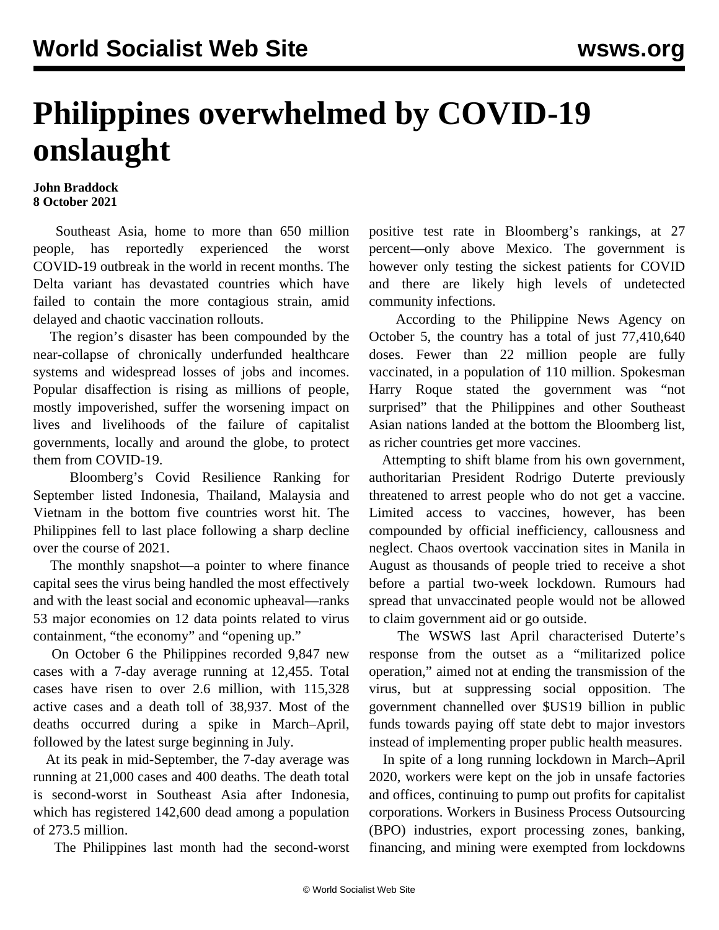## **Philippines overwhelmed by COVID-19 onslaught**

## **John Braddock 8 October 2021**

 Southeast Asia, home to more than 650 million people, has reportedly experienced the worst COVID-19 outbreak in the world in recent months. The Delta variant has devastated countries which have failed to contain the more contagious strain, amid delayed and chaotic vaccination rollouts.

 The region's disaster has been compounded by the near-collapse of chronically underfunded healthcare systems and widespread losses of jobs and incomes. Popular disaffection is rising as millions of people, mostly impoverished, suffer the worsening impact on lives and livelihoods of the failure of capitalist governments, locally and around the globe, to protect them from COVID-19.

 Bloomberg's Covid Resilience Ranking for September listed Indonesia, Thailand, Malaysia and Vietnam in the bottom five countries worst hit. The Philippines fell to last place following a sharp decline over the course of 2021.

 The monthly snapshot—a pointer to where finance capital sees the virus being handled the most effectively and with the least social and economic upheaval—ranks 53 major economies on 12 data points related to virus containment, "the economy" and "opening up."

 On October 6 the Philippines recorded 9,847 new cases with a 7-day average running at 12,455. Total cases have risen to over 2.6 million, with 115,328 active cases and a death toll of 38,937. Most of the deaths occurred during a spike in March–April, followed by the latest surge beginning in July.

 At its peak in mid-September, the 7-day average was running at 21,000 cases and 400 deaths. The death total is second-worst in Southeast Asia after Indonesia, which has registered 142,600 dead among a population of 273.5 million.

The Philippines last month had the second-worst

positive test rate in Bloomberg's rankings, at 27 percent—only above Mexico. The government is however only testing the sickest patients for COVID and there are likely high levels of undetected community infections.

 According to the Philippine News Agency on October 5, the country has a total of just 77,410,640 doses. Fewer than 22 million people are fully vaccinated, in a population of 110 million. Spokesman Harry Roque stated the government was "not surprised" that the Philippines and other Southeast Asian nations landed at the bottom the Bloomberg list, as richer countries get more vaccines.

 Attempting to shift blame from his own government, authoritarian President Rodrigo Duterte previously threatened to arrest people who do not get a vaccine. Limited access to vaccines, however, has been compounded by official inefficiency, callousness and neglect. Chaos overtook vaccination sites in Manila in August as thousands of people tried to receive a shot before a partial two-week lockdown. Rumours had spread that unvaccinated people would not be allowed to claim government aid or go outside.

 The WSWS last April [characterised](/en/articles/2021/04/05/phil-a05.html) Duterte's response from the outset as a "militarized police operation," aimed not at ending the transmission of the virus, but at suppressing social opposition. The government channelled over \$US19 billion in public funds towards paying off state debt to major investors instead of implementing proper public health measures.

 In spite of a long running lockdown in March–April 2020, workers were kept on the job in unsafe factories and offices, continuing to pump out profits for capitalist corporations. Workers in Business Process Outsourcing (BPO) industries, export processing zones, banking, financing, and mining were exempted from lockdowns